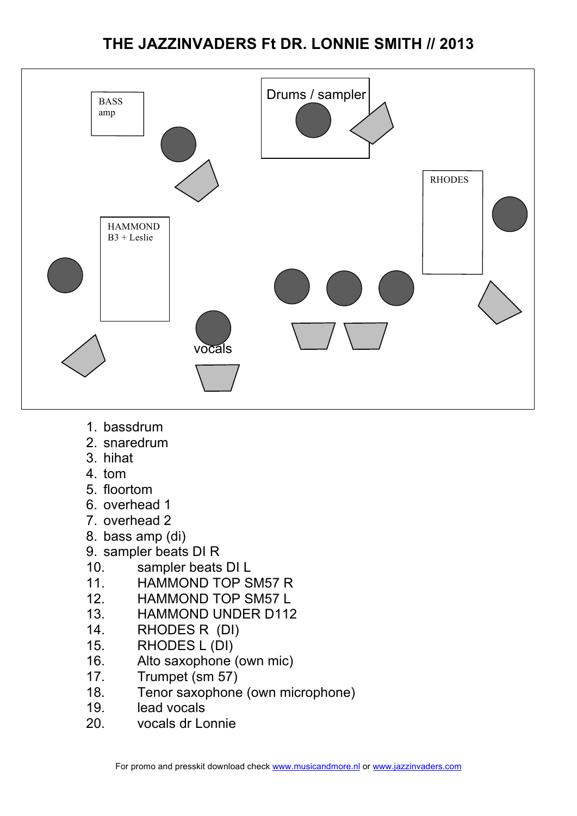# **THE JAZZINVADERS Ft DR. LONNIE SMITH // 2013**



- 1. bassdrum
- 2. snaredrum
- 3. hihat
- 4. tom
- 5. floortom
- 6. overhead 1
- 7. overhead 2
- 8. bass amp (di)
- 9. sampler beats DI R
- 10. sampler beats DI L
- 11. HAMMOND TOP SM57 R
- 12. HAMMOND TOP SM57 L
- 13. HAMMOND UNDER D112
- 14. RHODES R (DI)
- 15. RHODES L (DI)
- 16. Alto saxophone (own mic)
- 17. Trumpet (sm 57)
- 18. Tenor saxophone (own microphone)
- 19. lead vocals
- 20. vocals dr Lonnie